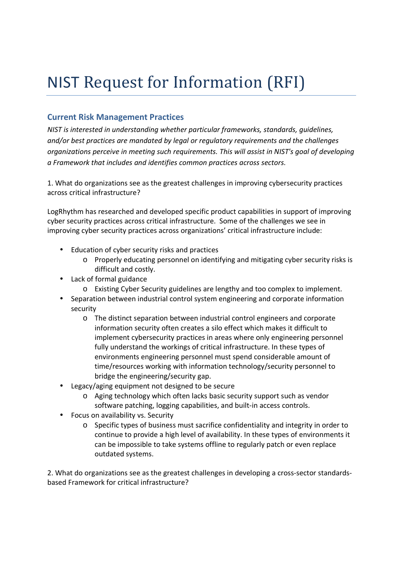## NIST Request for Information (RFI)

## **Current Risk Management Practices**

 *NIST is interested in understanding whether particular frameworks, standards, guidelines, and/or best practices are mandated by legal or regulatory requirements and the challenges organizations perceive in meeting such requirements. This will assist in NIST's goal of developing a Framework that includes and identifies common practices across sectors.* 

 1. What do organizations see as the greatest challenges in improving cybersecurity practices across critical infrastructure?

 LogRhythm has researched and developed specific product capabilities in support of improving cyber security practices across critical infrastructure. Some of the challenges we see in improving cyber security practices across organizations' critical infrastructure include:

- • Education of cyber security risks and practices
	- o Properly educating personnel on identifying and mitigating cyber security risks is difficult and costly.
- • Lack of formal guidance
	- o Existing Cyber Security guidelines are lengthy and too complex to implement.
- Separation between industrial control system engineering and corporate information security
	- $\circ$  The distinct separation between industrial control engineers and corporate information security often creates a silo effect which makes it difficult to implement cybersecurity practices in areas where only engineering personnel fully understand the workings of critical infrastructure. In these types of environments engineering personnel must spend considerable amount of time/resources working with information technology/security personnel to bridge the engineering/security gap.
- • Legacy/aging equipment not designed to be secure
	- o Aging technology which often lacks basic security support such as vendor software patching, logging capabilities, and built-in access controls.
- • Focus on availability vs. Security
	- $\circ$  Specific types of business must sacrifice confidentiality and integrity in order to continue to provide a high level of availability. In these types of environments it can be impossible to take systems offline to regularly patch or even replace outdated systems.

 2. What do organizations see as the greatest challenges in developing a cross-sector standards-based Framework for critical infrastructure?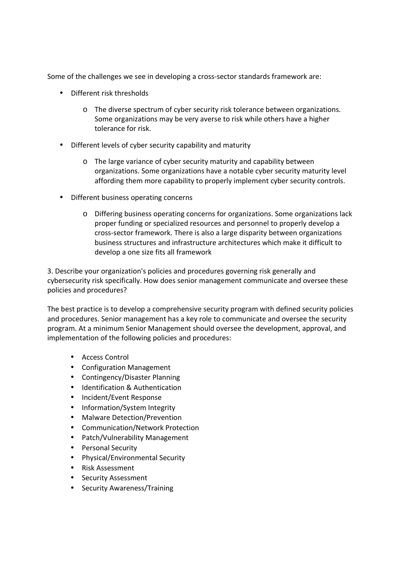Some of the challenges we see in developing a cross-sector standards framework are:

- • Different risk thresholds
	- o The diverse spectrum of cyber security risk tolerance between organizations. Some organizations may be very averse to risk while others have a higher tolerance for risk.
- • Different levels of cyber security capability and maturity
	- o The large variance of cyber security maturity and capability between organizations. Some organizations have a notable cyber security maturity level affording them more capability to properly implement cyber security controls.
- • Different business operating concerns
	- o Differing business operating concerns for organizations. Some organizations lack proper funding or specialized resources and personnel to properly develop a cross-sector framework. There is also a large disparity between organizations business structures and infrastructure architectures which make it difficult to develop a one size fits all framework

 3. Describe your organization's policies and procedures governing risk generally and cybersecurity risk specifically. How does senior management communicate and oversee these policies and procedures?

 The best practice is to develop a comprehensive security program with defined security policies and procedures. Senior management has a key role to communicate and oversee the security program. At a minimum Senior Management should oversee the development, approval, and implementation of the following policies and procedures:

- • Access Control
- • Configuration Management
- • Contingency/Disaster Planning
- • Identification & Authentication
- • Incident/Event Response
- • Information/System Integrity
- Malware Detection/Prevention
- • Communication/Network Protection
- • Patch/Vulnerability Management
- • Personal Security
- • Physical/Environmental Security
- • Risk Assessment
- • Security Assessment
- Security Awareness/Training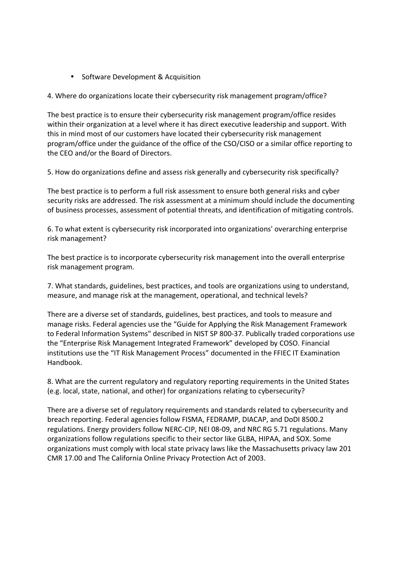• Software Development & Acquisition

4. Where do organizations locate their cybersecurity risk management program/office?

 The best practice is to ensure their cybersecurity risk management program/office resides within their organization at a level where it has direct executive leadership and support. With this in mind most of our customers have located their cybersecurity risk management program/office under the guidance of the office of the CSO/CISO or a similar office reporting to the CEO and/or the Board of Directors.

5. How do organizations define and assess risk generally and cybersecurity risk specifically?

 The best practice is to perform a full risk assessment to ensure both general risks and cyber security risks are addressed. The risk assessment at a minimum should include the documenting of business processes, assessment of potential threats, and identification of mitigating controls.

 6. To what extent is cybersecurity risk incorporated into organizations' overarching enterprise risk management?

 The best practice is to incorporate cybersecurity risk management into the overall enterprise risk management program.

 7. What standards, guidelines, best practices, and tools are organizations using to understand, measure, and manage risk at the management, operational, and technical levels?

 There are a diverse set of standards, guidelines, best practices, and tools to measure and manage risks. Federal agencies use the "Guide for Applying the Risk Management Framework to Federal Information Systems" described in NIST SP 800-37. Publically traded corporations use the "Enterprise Risk Management Integrated Framework" developed by COSO. Financial institutions use the "IT Risk Management Process" documented in the FFIEC IT Examination Handbook.

Handbook.<br>8. What are the current regulatory and regulatory reporting requirements in the United States (e.g. local, state, national, and other) for organizations relating to cybersecurity?

 There are a diverse set of regulatory requirements and standards related to cybersecurity and breach reporting. Federal agencies follow FISMA, FEDRAMP, DIACAP, and DoDI 8500.2 regulations. Energy providers follow NERC-CIP, NEI 08-09, and NRC RG 5.71 regulations. Many organizations follow regulations specific to their sector like GLBA, HIPAA, and SOX. Some organizations must comply with local state privacy laws like the Massachusetts privacy law 201 CMR 17.00 and The California Online Privacy Protection Act of 2003.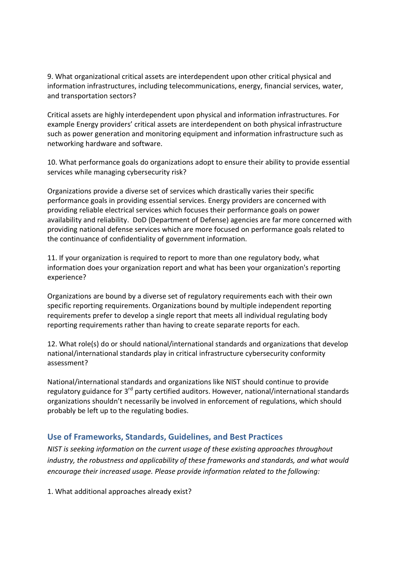9. What organizational critical assets are interdependent upon other critical physical and information infrastructures, including telecommunications, energy, financial services, water, and transportation sectors?

 Critical assets are highly interdependent upon physical and information infrastructures. For example Energy providers' critical assets are interdependent on both physical infrastructure such as power generation and monitoring equipment and information infrastructure such as networking hardware and software.

 10. What performance goals do organizations adopt to ensure their ability to provide essential services while managing cybersecurity risk?

 Organizations provide a diverse set of services which drastically varies their specific performance goals in providing essential services. Energy providers are concerned with providing reliable electrical services which focuses their performance goals on power availability and reliability. DoD (Department of Defense) agencies are far more concerned with providing national defense services which are more focused on performance goals related to the continuance of confidentiality of government information.

 11. If your organization is required to report to more than one regulatory body, what information does your organization report and what has been your organization's reporting experience?

 Organizations are bound by a diverse set of regulatory requirements each with their own specific reporting requirements. Organizations bound by multiple independent reporting requirements prefer to develop a single report that meets all individual regulating body reporting requirements rather than having to create separate reports for each.

 12. What role(s) do or should national/international standards and organizations that develop national/international standards play in critical infrastructure cybersecurity conformity assessment?

 National/international standards and organizations like NIST should continue to provide regulatory guidance for 3<sup>rd</sup> party certified auditors. However, national/international standards organizations shouldn't necessarily be involved in enforcement of regulations, which should probably be left up to the regulating bodies.

## **Use of Frameworks, Standards, Guidelines, and Best Practices**

 *NIST is seeking information on the current usage of these existing approaches throughout industry, the robustness and applicability of these frameworks and standards, and what would encourage their increased usage. Please provide information related to the following:* 

1. What additional approaches already exist?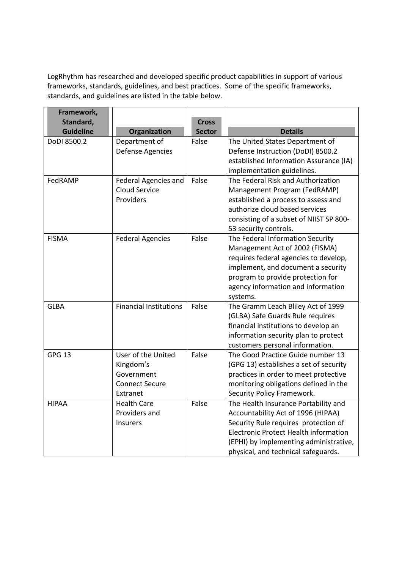LogRhythm has researched and developed specific product capabilities in support of various frameworks, standards, guidelines, and best practices. Some of the specific frameworks, standards, and guidelines are listed in the table below.

| Framework,                    |                                |                               |                                                                            |
|-------------------------------|--------------------------------|-------------------------------|----------------------------------------------------------------------------|
| Standard,<br><b>Guideline</b> | Organization                   | <b>Cross</b><br><b>Sector</b> | <b>Details</b>                                                             |
| DoDI 8500.2                   | Department of                  | False                         | The United States Department of                                            |
|                               | <b>Defense Agencies</b>        |                               | Defense Instruction (DoDI) 8500.2                                          |
|                               |                                |                               | established Information Assurance (IA)                                     |
|                               |                                |                               | implementation guidelines.                                                 |
| FedRAMP                       | Federal Agencies and           | False                         | The Federal Risk and Authorization                                         |
|                               | Cloud Service                  |                               | Management Program (FedRAMP)                                               |
|                               | Providers                      |                               | established a process to assess and                                        |
|                               |                                |                               | authorize cloud based services                                             |
|                               |                                |                               | consisting of a subset of NIIST SP 800-                                    |
|                               |                                |                               | 53 security controls.                                                      |
| <b>FISMA</b>                  | <b>Federal Agencies</b>        | False                         | The Federal Information Security                                           |
|                               |                                |                               | Management Act of 2002 (FISMA)                                             |
|                               |                                |                               | requires federal agencies to develop,                                      |
|                               |                                |                               | implement, and document a security                                         |
|                               |                                |                               | program to provide protection for                                          |
|                               |                                |                               | agency information and information                                         |
|                               |                                |                               | systems.                                                                   |
| <b>GLBA</b>                   | <b>Financial Institutions</b>  | False                         | The Gramm Leach Bliley Act of 1999                                         |
|                               |                                |                               | (GLBA) Safe Guards Rule requires                                           |
|                               |                                |                               | financial institutions to develop an                                       |
|                               |                                |                               | information security plan to protect                                       |
|                               |                                |                               | customers personal information.                                            |
| GPG <sub>13</sub>             | User of the United             | False                         | The Good Practice Guide number 13                                          |
|                               | Kingdom's                      |                               | (GPG 13) establishes a set of security                                     |
|                               | Government                     |                               | practices in order to meet protective                                      |
|                               | <b>Connect Secure</b>          |                               | monitoring obligations defined in the                                      |
| <b>HIPAA</b>                  | Extranet<br><b>Health Care</b> | False                         | Security Policy Framework.                                                 |
|                               | Providers and                  |                               | The Health Insurance Portability and<br>Accountability Act of 1996 (HIPAA) |
|                               | Insurers                       |                               | Security Rule requires protection of                                       |
|                               |                                |                               | Electronic Protect Health information                                      |
|                               |                                |                               | (EPHI) by implementing administrative,                                     |
|                               |                                |                               | physical, and technical safeguards.                                        |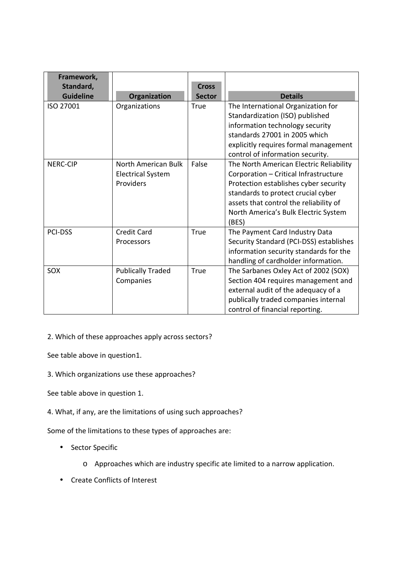| Framework,<br>Standard, |                                                              | <b>Cross</b>  |                                                                                                                                                                                                                                                            |
|-------------------------|--------------------------------------------------------------|---------------|------------------------------------------------------------------------------------------------------------------------------------------------------------------------------------------------------------------------------------------------------------|
| <b>Guideline</b>        | Organization                                                 | <b>Sector</b> | <b>Details</b>                                                                                                                                                                                                                                             |
| ISO 27001               | Organizations                                                | <b>True</b>   | The International Organization for<br>Standardization (ISO) published<br>information technology security<br>standards 27001 in 2005 which<br>explicitly requires formal management<br>control of information security.                                     |
| <b>NERC-CIP</b>         | North American Bulk<br><b>Electrical System</b><br>Providers | False         | The North American Electric Reliability<br>Corporation - Critical Infrastructure<br>Protection establishes cyber security<br>standards to protect crucial cyber<br>assets that control the reliability of<br>North America's Bulk Electric System<br>(BES) |
| <b>PCI-DSS</b>          | <b>Credit Card</b><br>Processors                             | <b>True</b>   | The Payment Card Industry Data<br>Security Standard (PCI-DSS) establishes<br>information security standards for the<br>handling of cardholder information.                                                                                                 |
| SOX                     | <b>Publically Traded</b><br>Companies                        | True          | The Sarbanes Oxley Act of 2002 (SOX)<br>Section 404 requires management and<br>external audit of the adequacy of a<br>publically traded companies internal<br>control of financial reporting.                                                              |

2. Which of these approaches apply across sectors?

See table above in question1.

3. Which organizations use these approaches?

See table above in question 1.

4. What, if any, are the limitations of using such approaches?

Some of the limitations to these types of approaches are:

- • Sector Specific
	- o Approaches which are industry specific ate limited to a narrow application.
- Create Conflicts of Interest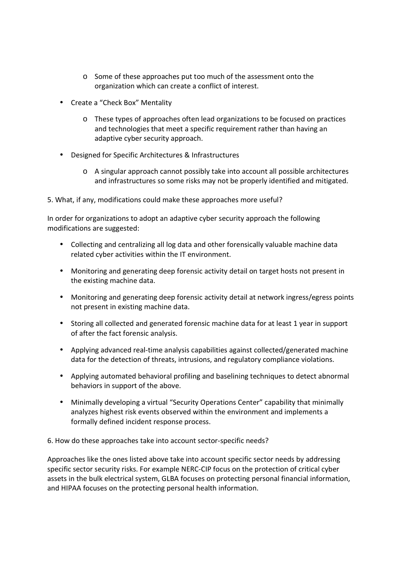- $\circ$  Some of these approaches put too much of the assessment onto the organization which can create a conflict of interest.
- Create a "Check Box" Mentality
	- o These types of approaches often lead organizations to be focused on practices and technologies that meet a specific requirement rather than having an adaptive cyber security approach.
- • Designed for Specific Architectures & Infrastructures
	- o A singular approach cannot possibly take into account all possible architectures and infrastructures so some risks may not be properly identified and mitigated.

5. What, if any, modifications could make these approaches more useful?

 In order for organizations to adopt an adaptive cyber security approach the following modifications are suggested:

- Collecting and centralizing all log data and other forensically valuable machine data related cyber activities within the IT environment.
- Monitoring and generating deep forensic activity detail on target hosts not present in the existing machine data.
- Monitoring and generating deep forensic activity detail at network ingress/egress points not present in existing machine data.
- Storing all collected and generated forensic machine data for at least 1 year in support of after the fact forensic analysis.
- • Applying advanced real-time analysis capabilities against collected/generated machine data for the detection of threats, intrusions, and regulatory compliance violations.
- • Applying automated behavioral profiling and baselining techniques to detect abnormal behaviors in support of the above.
- Minimally developing a virtual "Security Operations Center" capability that minimally analyzes highest risk events observed within the environment and implements a formally defined incident response process.

6. How do these approaches take into account sector-specific needs?

 Approaches like the ones listed above take into account specific sector needs by addressing specific sector security risks. For example NERC-CIP focus on the protection of critical cyber assets in the bulk electrical system, GLBA focuses on protecting personal financial information, and HIPAA focuses on the protecting personal health information.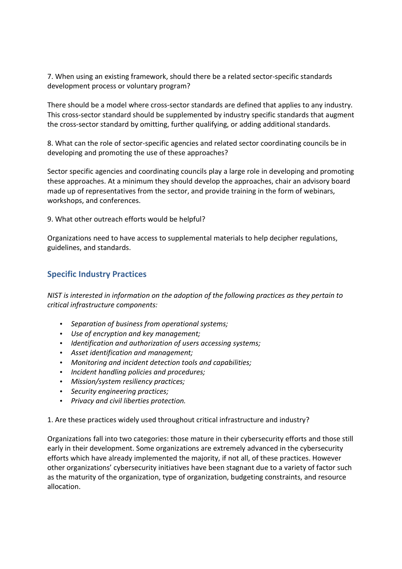7. When using an existing framework, should there be a related sector-specific standards development process or voluntary program?

 There should be a model where cross-sector standards are defined that applies to any industry. This cross-sector standard should be supplemented by industry specific standards that augment the cross-sector standard by omitting, further qualifying, or adding additional standards.

 8. What can the role of sector-specific agencies and related sector coordinating councils be in developing and promoting the use of these approaches?

 Sector specific agencies and coordinating councils play a large role in developing and promoting these approaches. At a minimum they should develop the approaches, chair an advisory board made up of representatives from the sector, and provide training in the form of webinars, workshops, and conferences.

9. What other outreach efforts would be helpful?

 Organizations need to have access to supplemental materials to help decipher regulations, guidelines, and standards.

## **Specific Industry Practices**

 *NIST is interested in information on the adoption of the following practices as they pertain to critical infrastructure components:* 

- *Separation of business from operational systems;*
- *Use of encryption and key management;*
- *Identification and authorization of users accessing systems;*
- *Asset identification and management;*
- *Monitoring and incident detection tools and capabilities;*
- *Incident handling policies and procedures;*
- *Mission/system resiliency practices;*
- *Security engineering practices;*
- *Privacy and civil liberties protection.*

1. Are these practices widely used throughout critical infrastructure and industry?

 Organizations fall into two categories: those mature in their cybersecurity efforts and those still early in their development. Some organizations are extremely advanced in the cybersecurity efforts which have already implemented the majority, if not all, of these practices. However other organizations' cybersecurity initiatives have been stagnant due to a variety of factor such as the maturity of the organization, type of organization, budgeting constraints, and resource allocation.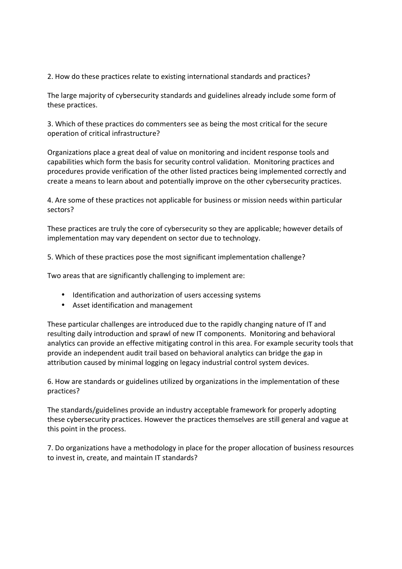2. How do these practices relate to existing international standards and practices?

 The large majority of cybersecurity standards and guidelines already include some form of these practices.

 3. Which of these practices do commenters see as being the most critical for the secure operation of critical infrastructure?

 Organizations place a great deal of value on monitoring and incident response tools and capabilities which form the basis for security control validation. Monitoring practices and procedures provide verification of the other listed practices being implemented correctly and create a means to learn about and potentially improve on the other cybersecurity practices.

 4. Are some of these practices not applicable for business or mission needs within particular sectors?

 These practices are truly the core of cybersecurity so they are applicable; however details of implementation may vary dependent on sector due to technology.

5. Which of these practices pose the most significant implementation challenge?

Two areas that are significantly challenging to implement are:

- Identification and authorization of users accessing systems
- Asset identification and management

 These particular challenges are introduced due to the rapidly changing nature of IT and resulting daily introduction and sprawl of new IT components. Monitoring and behavioral analytics can provide an effective mitigating control in this area. For example security tools that provide an independent audit trail based on behavioral analytics can bridge the gap in attribution caused by minimal logging on legacy industrial control system devices.

 6. How are standards or guidelines utilized by organizations in the implementation of these practices?

 The standards/guidelines provide an industry acceptable framework for properly adopting these cybersecurity practices. However the practices themselves are still general and vague at this point in the process.

 7. Do organizations have a methodology in place for the proper allocation of business resources to invest in, create, and maintain IT standards?